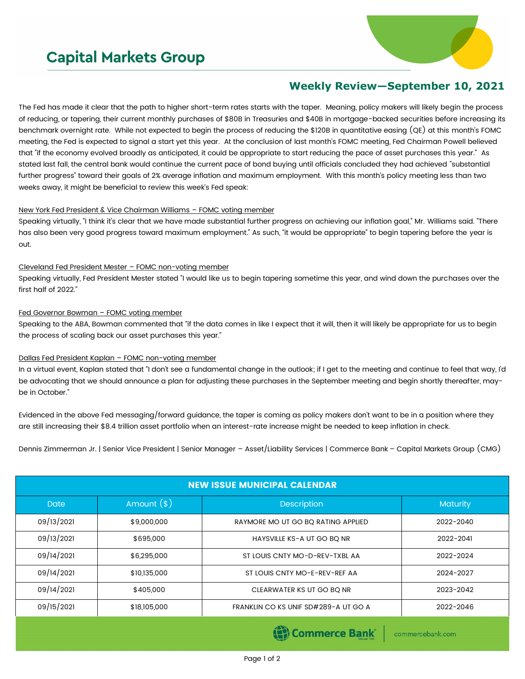# **Capital Markets Group**



## **Weekly Review—September 10, 2021**

The Fed has made it clear that the path to higher short-term rates starts with the taper. Meaning, policy makers will likely begin the process of reducing, or tapering, their current monthly purchases of \$80B in Treasuries and \$40B in mortgage-backed securities before increasing its benchmark overnight rate. While not expected to begin the process of reducing the \$120B in quantitative easing (QE) at this month's FOMC meeting, the Fed is expected to signal a start yet this year. At the conclusion of last month's FOMC meeting, Fed Chairman Powell believed that "if the economy evolved broadly as anticipated, it could be appropriate to start reducing the pace of asset purchases this year." As stated last fall, the central bank would continue the current pace of bond buying until officials concluded they had achieved "substantial further progress" toward their goals of 2% average inflation and maximum employment. With this month's policy meeting less than two weeks away, it might be beneficial to review this week's Fed speak:

#### New York Fed President & Vice Chairman Williams – FOMC voting member

Speaking virtually, "I think it's clear that we have made substantial further progress on achieving our inflation goal," Mr. Williams said. "There has also been very good progress toward maximum employment." As such, "it would be appropriate" to begin tapering before the year is out.

### Cleveland Fed President Mester – FOMC non-voting member

Speaking virtually, Fed President Mester stated "I would like us to begin tapering sometime this year, and wind down the purchases over the first half of 2022."

### Fed Governor Bowman - FOMC voting member

Speaking to the ABA, Bowman commented that "if the data comes in like I expect that it will, then it will likely be appropriate for us to begin the process of scaling back our asset purchases this year."

### Dallas Fed President Kaplan – FOMC non-voting member

In a virtual event, Kaplan stated that "I don't see a fundamental change in the outlook; if I get to the meeting and continue to feel that way, I'd be advocating that we should announce a plan for adjusting these purchases in the September meeting and begin shortly thereafter, maybe in October."

Evidenced in the above Fed messaging/forward guidance, the taper is coming as policy makers don't want to be in a position where they are still increasing their \$8.4 trillion asset portfolio when an interest-rate increase might be needed to keep inflation in check.

Dennis Zimmerman Jr. | Senior Vice President | Senior Manager – Asset/Liability Services | Commerce Bank – Capital Markets Group (CMG)

| <b>NEW ISSUE MUNICIPAL CALENDAR</b> |              |                                      |                 |  |  |  |  |  |
|-------------------------------------|--------------|--------------------------------------|-----------------|--|--|--|--|--|
| <b>Date</b>                         | Amount $(*)$ | <b>Description</b>                   | <b>Maturity</b> |  |  |  |  |  |
| 09/13/2021                          | \$9,000,000  | RAYMORE MO UT GO BQ RATING APPLIED   | 2022-2040       |  |  |  |  |  |
| 09/13/2021                          | \$695,000    | HAYSVILLE KS-A UT GO BO NR           | 2022-2041       |  |  |  |  |  |
| 09/14/2021                          | \$6,295,000  | ST LOUIS CNTY MO-D-REV-TXBL AA       | 2022-2024       |  |  |  |  |  |
| 09/14/2021                          | \$10,135,000 | ST LOUIS CNTY MO-E-REV-REF AA        | 2024-2027       |  |  |  |  |  |
| 09/14/2021                          | \$405,000    | CLEARWATER KS UT GO BQ NR            | 2023-2042       |  |  |  |  |  |
| 09/15/2021                          | \$18,105,000 | FRANKLIN CO KS UNIF SD#289-A UT GO A | 2022-2046       |  |  |  |  |  |

(B) Commerce Bank

commercebank.com